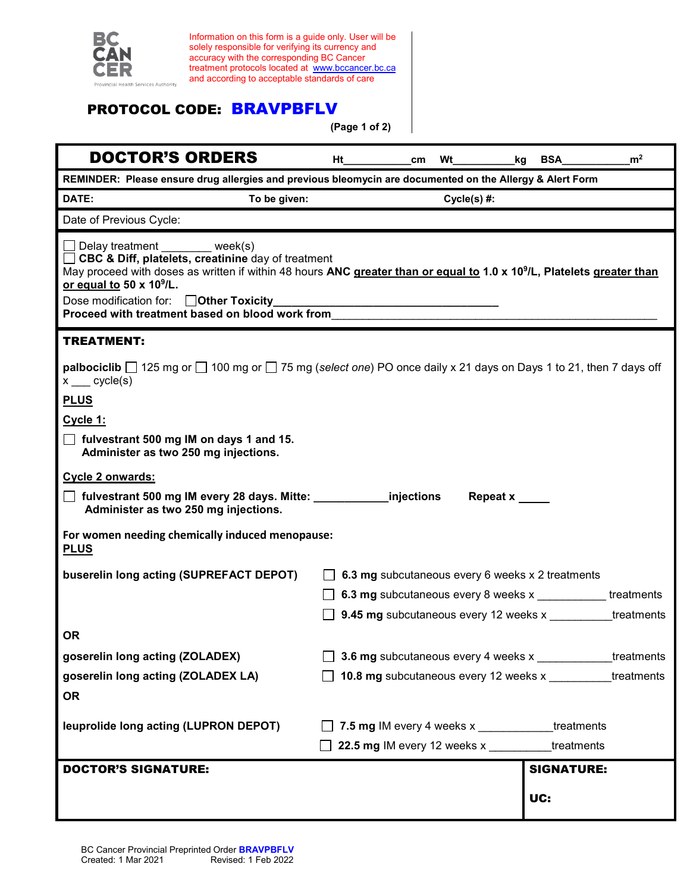

Information on this form is a guide only. User will be solely responsible for verifying its currency and accuracy with the corresponding BC Cancer treatment protocols located at [www.bccancer.bc.ca](http://www.bccancer.bc.ca/) and according to acceptable standards of care

## PROTOCOL CODE: BRAVPBFLV

**(Page 1 of 2)**

| <b>DOCTOR'S ORDERS</b>                                                                                                                                                                                                                                                                                                                                                      | Ηt                                                         | cm <sub>2</sub>                                                                    | Wt | kg | <b>BSA</b>        | m <sup>2</sup> |  |
|-----------------------------------------------------------------------------------------------------------------------------------------------------------------------------------------------------------------------------------------------------------------------------------------------------------------------------------------------------------------------------|------------------------------------------------------------|------------------------------------------------------------------------------------|----|----|-------------------|----------------|--|
| REMINDER: Please ensure drug allergies and previous bleomycin are documented on the Allergy & Alert Form                                                                                                                                                                                                                                                                    |                                                            |                                                                                    |    |    |                   |                |  |
| DATE:<br>To be given:                                                                                                                                                                                                                                                                                                                                                       | $Cycle(s)$ #:                                              |                                                                                    |    |    |                   |                |  |
| Date of Previous Cycle:                                                                                                                                                                                                                                                                                                                                                     |                                                            |                                                                                    |    |    |                   |                |  |
| □ Delay treatment ________ week(s)<br>□ CBC & Diff, platelets, creatinine day of treatment<br>May proceed with doses as written if within 48 hours ANC greater than or equal to 1.0 x 10 <sup>9</sup> /L, Platelets greater than<br>or equal to 50 x 10 <sup>9</sup> /L.<br>Dose modification for: <b>Other Toxicity</b><br>Proceed with treatment based on blood work from |                                                            |                                                                                    |    |    |                   |                |  |
| <b>TREATMENT:</b>                                                                                                                                                                                                                                                                                                                                                           |                                                            |                                                                                    |    |    |                   |                |  |
| <b>palbociclib</b> $\Box$ 125 mg or $\Box$ 100 mg or $\Box$ 75 mg (select one) PO once daily x 21 days on Days 1 to 21, then 7 days off<br>$x$ cycle(s)<br><b>PLUS</b>                                                                                                                                                                                                      |                                                            |                                                                                    |    |    |                   |                |  |
| Cycle 1:                                                                                                                                                                                                                                                                                                                                                                    |                                                            |                                                                                    |    |    |                   |                |  |
| $\Box$ fulvestrant 500 mg IM on days 1 and 15.<br>Administer as two 250 mg injections.                                                                                                                                                                                                                                                                                      |                                                            |                                                                                    |    |    |                   |                |  |
| Cycle 2 onwards:                                                                                                                                                                                                                                                                                                                                                            |                                                            |                                                                                    |    |    |                   |                |  |
| □ fulvestrant 500 mg IM every 28 days. Mitte:<br>_injections<br>Repeat x<br>Administer as two 250 mg injections.                                                                                                                                                                                                                                                            |                                                            |                                                                                    |    |    |                   |                |  |
| For women needing chemically induced menopause:<br><b>PLUS</b>                                                                                                                                                                                                                                                                                                              |                                                            |                                                                                    |    |    |                   |                |  |
| buserelin long acting (SUPREFACT DEPOT)                                                                                                                                                                                                                                                                                                                                     |                                                            | 6.3 mg subcutaneous every 6 weeks x 2 treatments                                   |    |    |                   |                |  |
|                                                                                                                                                                                                                                                                                                                                                                             | 6.3 mg subcutaneous every 8 weeks x<br>treatments          |                                                                                    |    |    |                   |                |  |
|                                                                                                                                                                                                                                                                                                                                                                             | treatments<br><b>9.45 mg</b> subcutaneous every 12 weeks x |                                                                                    |    |    |                   |                |  |
| <b>OR</b>                                                                                                                                                                                                                                                                                                                                                                   |                                                            |                                                                                    |    |    |                   |                |  |
| goserelin long acting (ZOLADEX)                                                                                                                                                                                                                                                                                                                                             | 3.6 mg subcutaneous every 4 weeks x<br>treatments          |                                                                                    |    |    |                   |                |  |
| goserelin long acting (ZOLADEX LA)                                                                                                                                                                                                                                                                                                                                          | 10.8 mg subcutaneous every 12 weeks x<br>treatments        |                                                                                    |    |    |                   |                |  |
| <b>OR</b>                                                                                                                                                                                                                                                                                                                                                                   |                                                            |                                                                                    |    |    |                   |                |  |
| leuprolide long acting (LUPRON DEPOT)                                                                                                                                                                                                                                                                                                                                       |                                                            |                                                                                    |    |    |                   |                |  |
|                                                                                                                                                                                                                                                                                                                                                                             |                                                            | 7.5 mg IM every 4 weeks x _____________treatments<br>22.5 mg IM every 12 weeks $x$ |    |    |                   | treatments     |  |
|                                                                                                                                                                                                                                                                                                                                                                             |                                                            |                                                                                    |    |    |                   |                |  |
| <b>DOCTOR'S SIGNATURE:</b>                                                                                                                                                                                                                                                                                                                                                  |                                                            |                                                                                    |    |    | <b>SIGNATURE:</b> |                |  |
|                                                                                                                                                                                                                                                                                                                                                                             |                                                            |                                                                                    |    |    | UC:               |                |  |